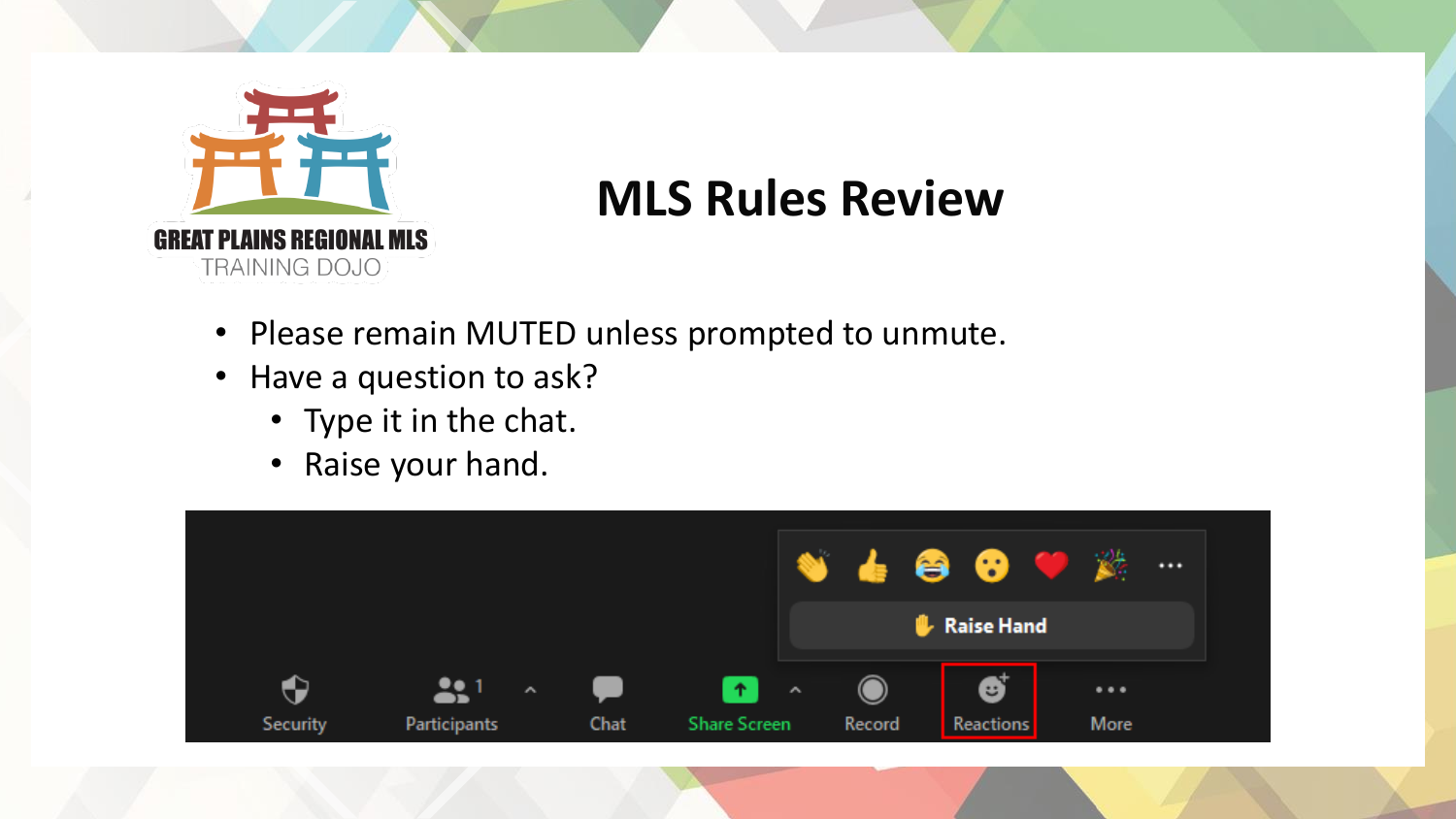

#### **MLS Rules Review**

- Please remain MUTED unless prompted to unmute.
- Have a question to ask?
	- Type it in the chat.
	- Raise your hand.

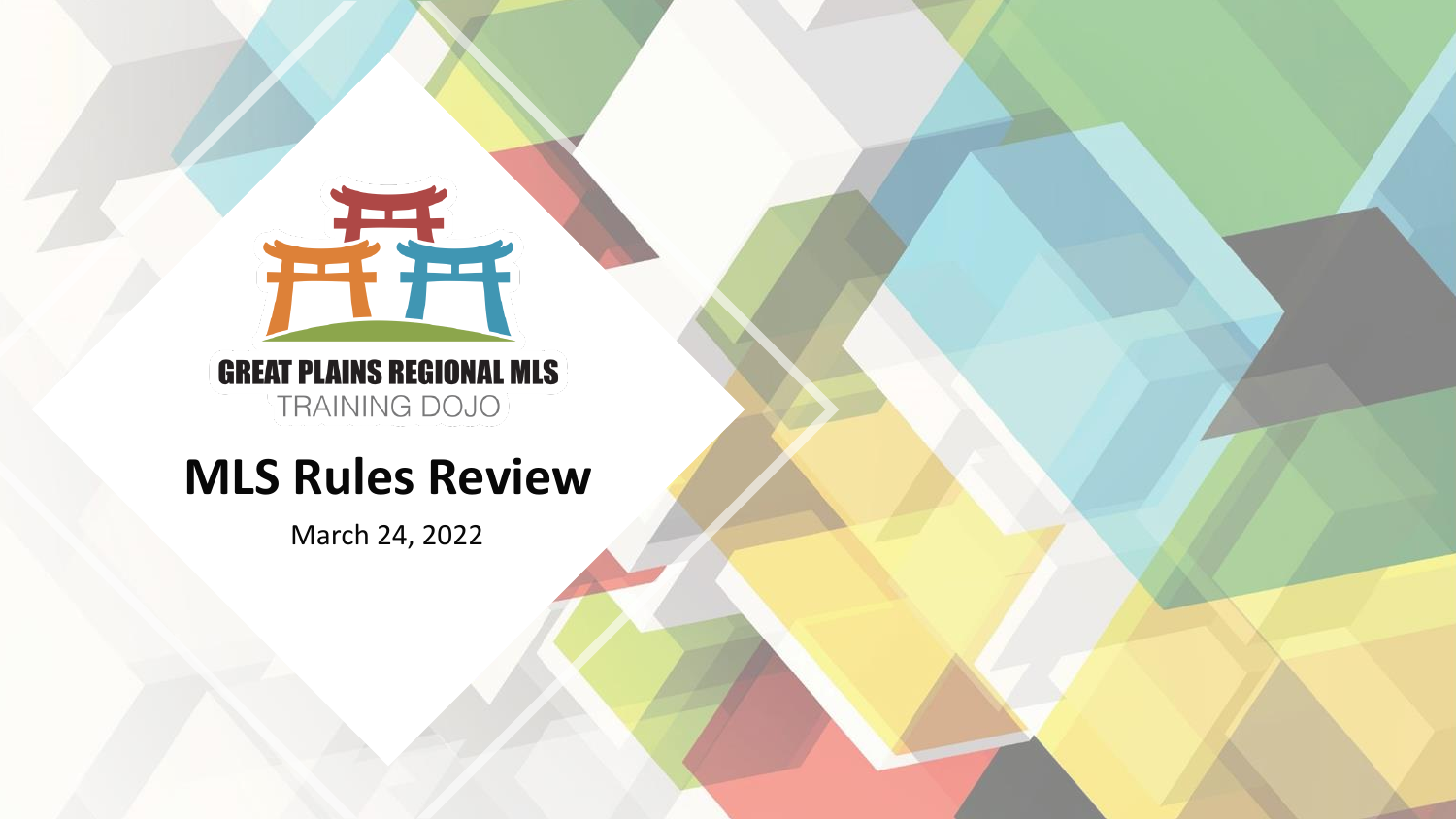

**GREAT PLAINS REGIONAL MLS** TRAINING DOJO

#### **MLS Rules Review**

March 24, 2022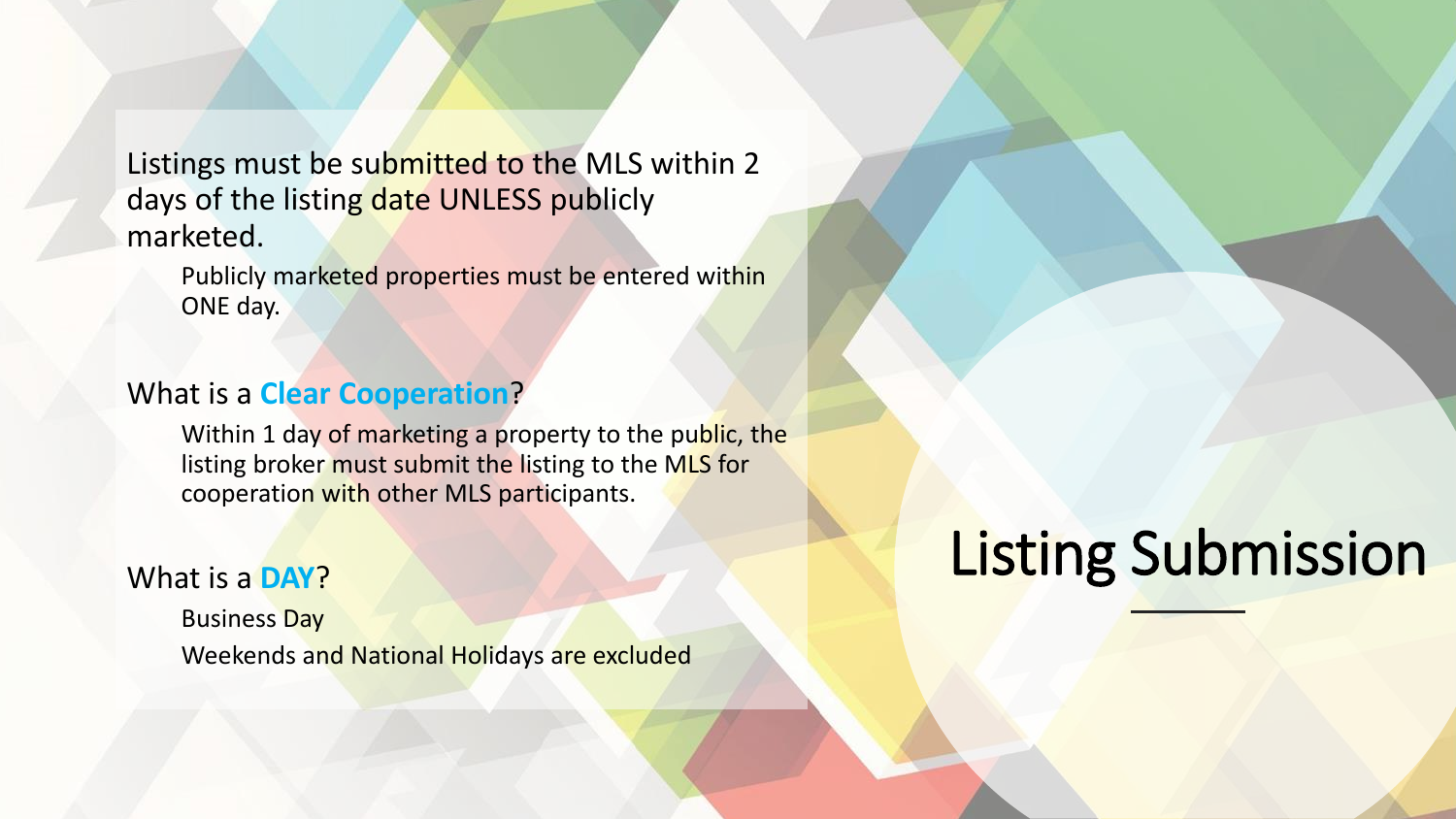Listings must be submitted to the MLS within 2 days of the listing date UNLESS publicly marketed.

Publicly marketed properties must be entered within ONE day.

#### What is a **Clear Cooperation**?

Within 1 day of marketing a property to the public, the listing broker must submit the listing to the MLS for cooperation with other MLS participants.

#### What is a **DAY**?

Business Day Weekends and National Holidays are excluded

## **Listing Submission**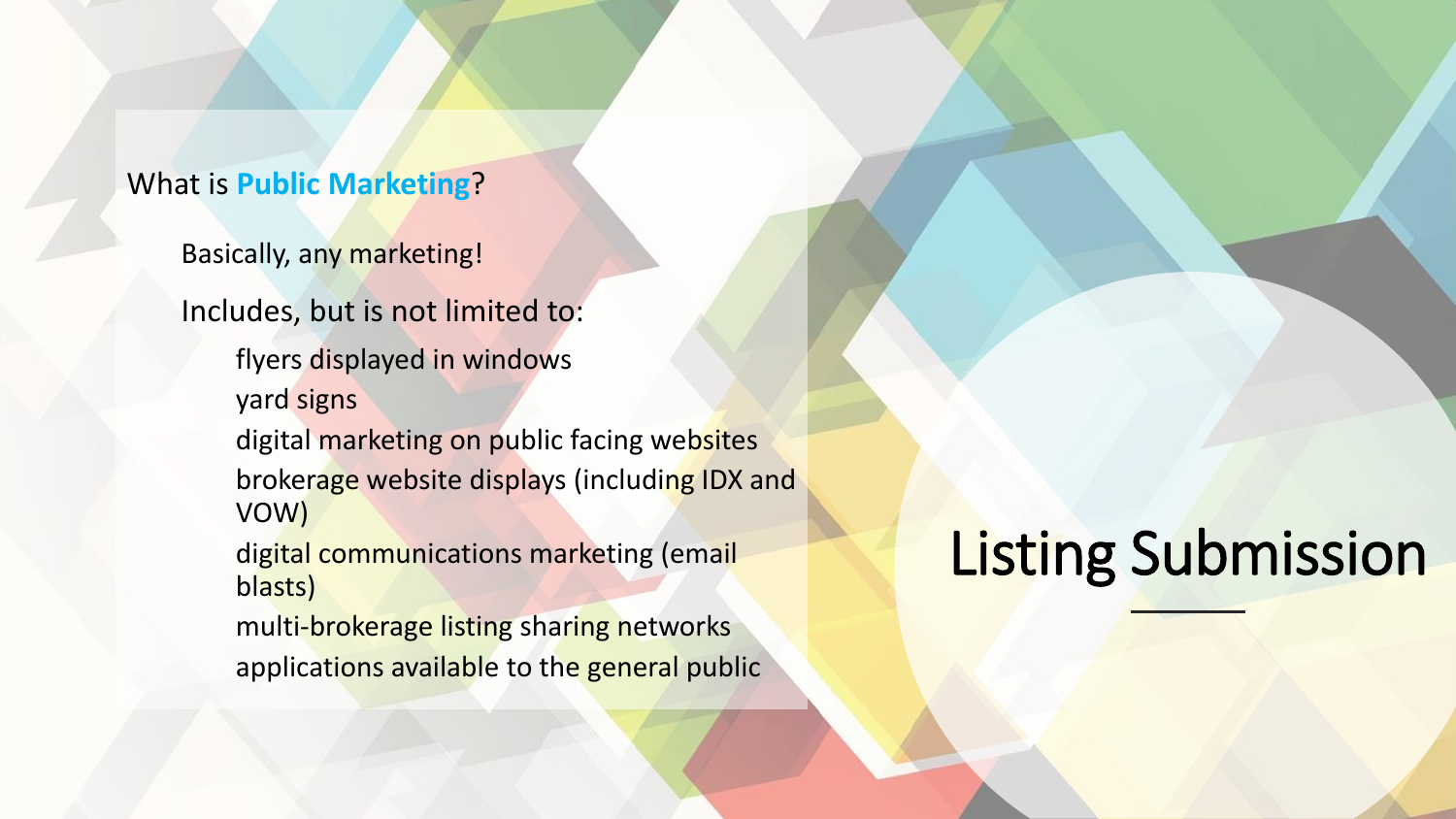#### What is **Public Marketing**?

Basically, any marketing!

Includes, but is not limited to:

flyers displayed in windows

yard signs

digital marketing on public facing websites brokerage website displays (including IDX and VOW)

digital communications marketing (email blasts)

multi-brokerage listing sharing networks applications available to the general public

#### **Listing Submission**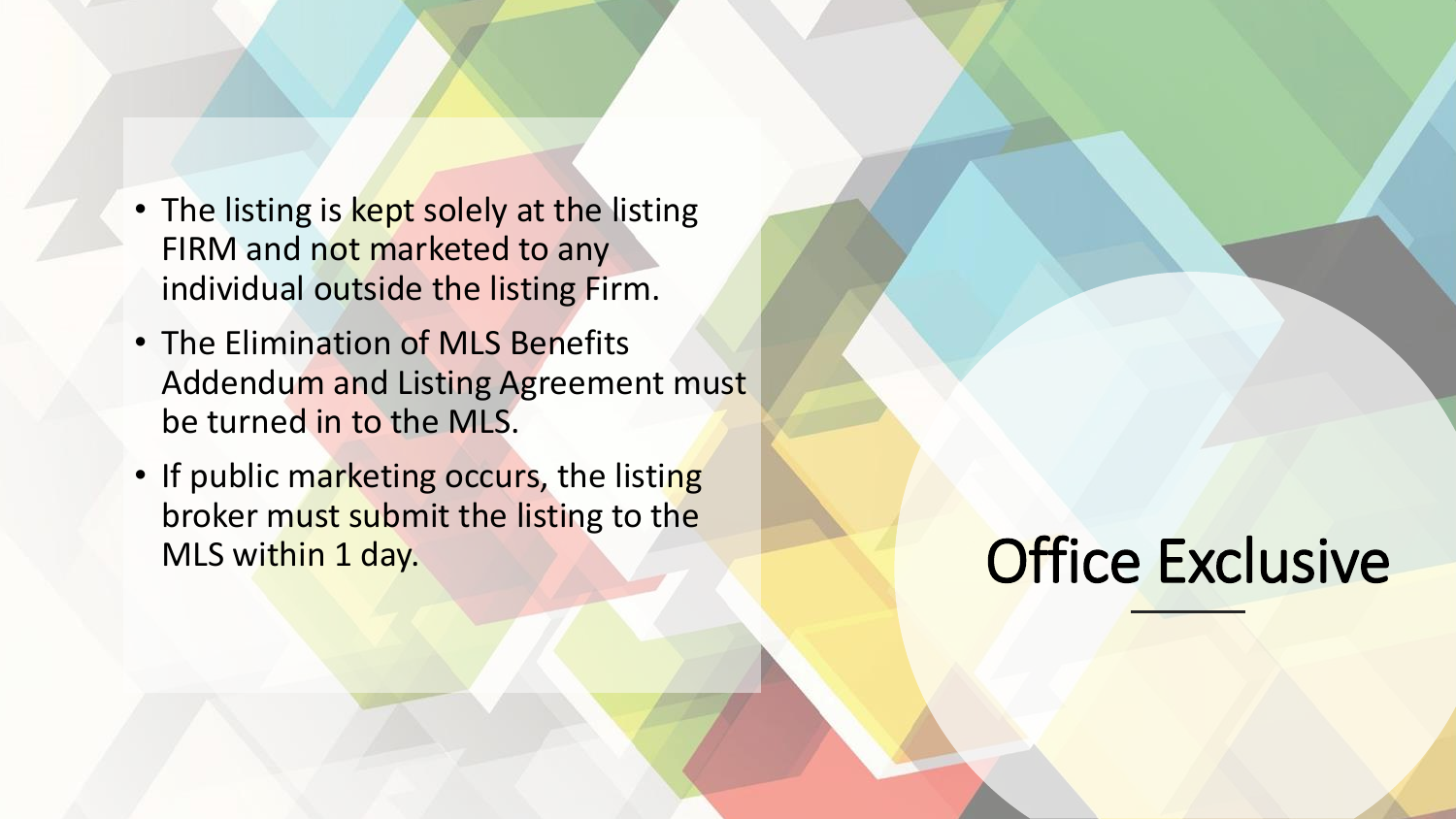- The listing is kept solely at the listing FIRM and not marketed to any individual outside the listing Firm.
- The Elimination of MLS Benefits Addendum and Listing Agreement must be turned in to the MLS.
- If public marketing occurs, the listing broker must submit the listing to the MLS within 1 day.

#### **Office Exclusive**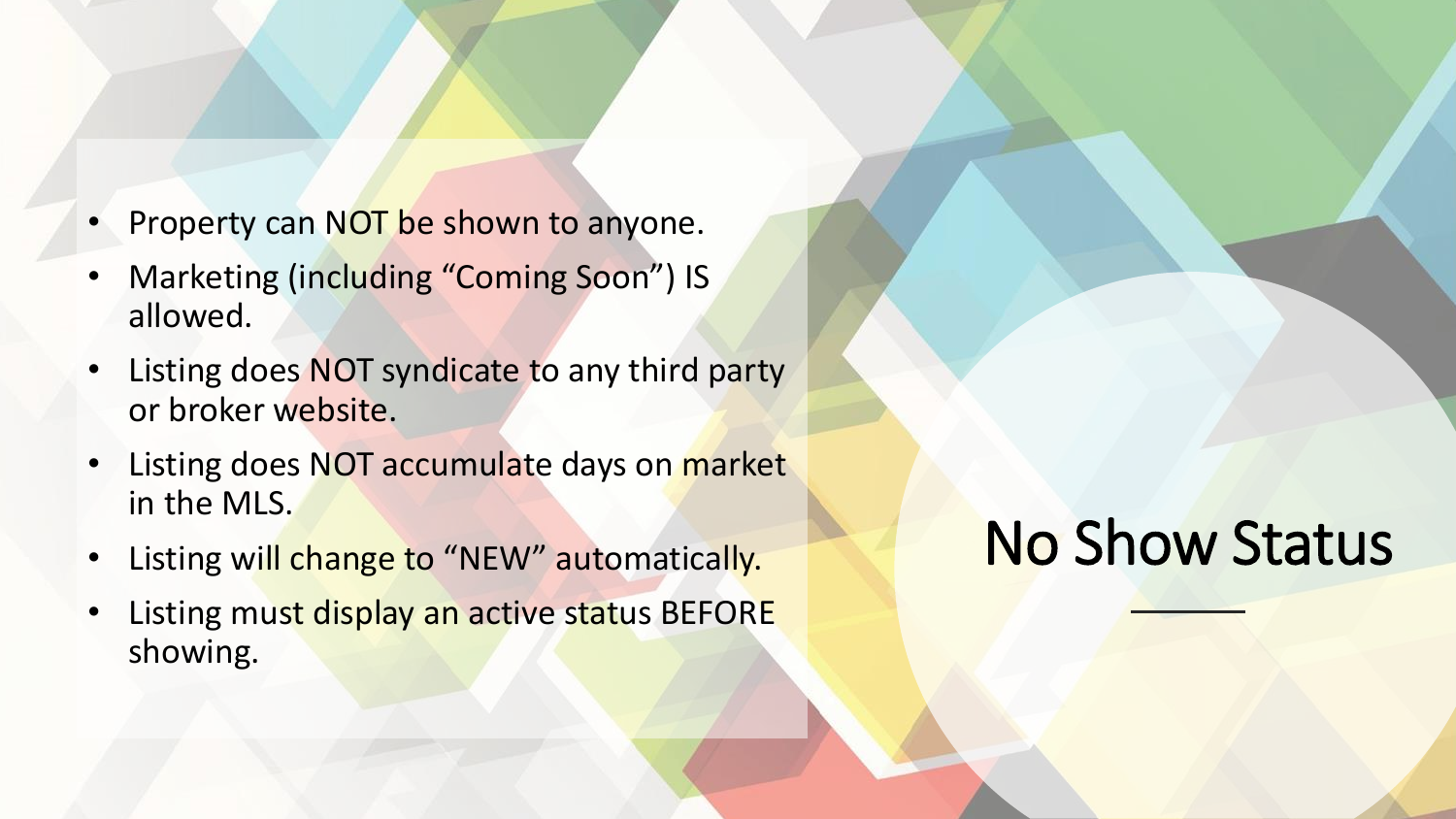- Property can NOT be shown to anyone.
- Marketing (including "Coming Soon") IS allowed.
- Listing does NOT syndicate to any third party or broker website.
- Listing does NOT accumulate days on market in the MLS.
- Listing will change to "NEW" automatically.
- Listing must display an active status BEFORE showing.

## No Show Status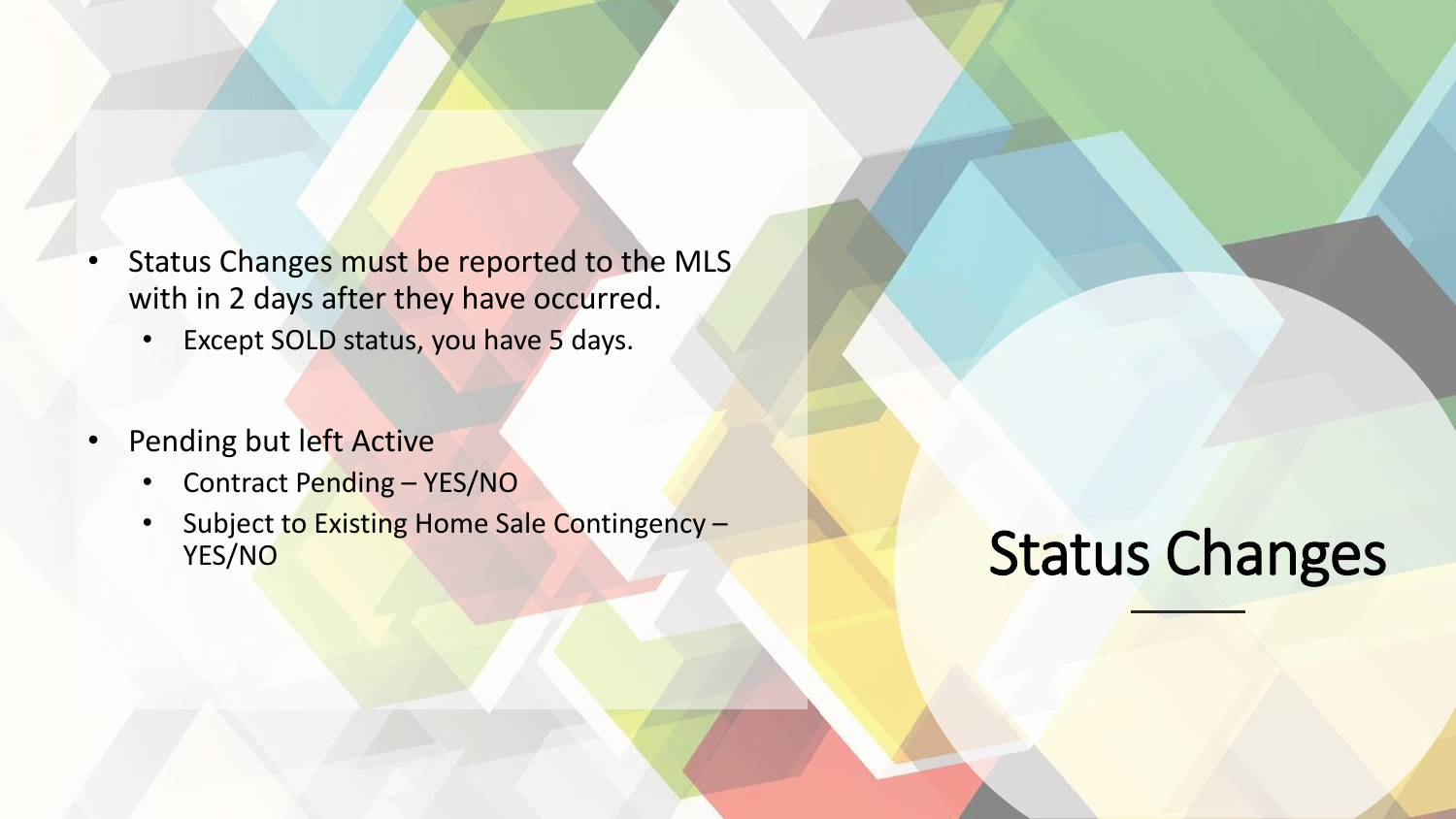- Status Changes must be reported to the MLS with in 2 days after they have occurred.
	- Except SOLD status, you have 5 days.
- Pending but left Active
	- Contract Pending YES/NO
	- Subject to Existing Home Sale Contingency -YES/NO

### Status Changes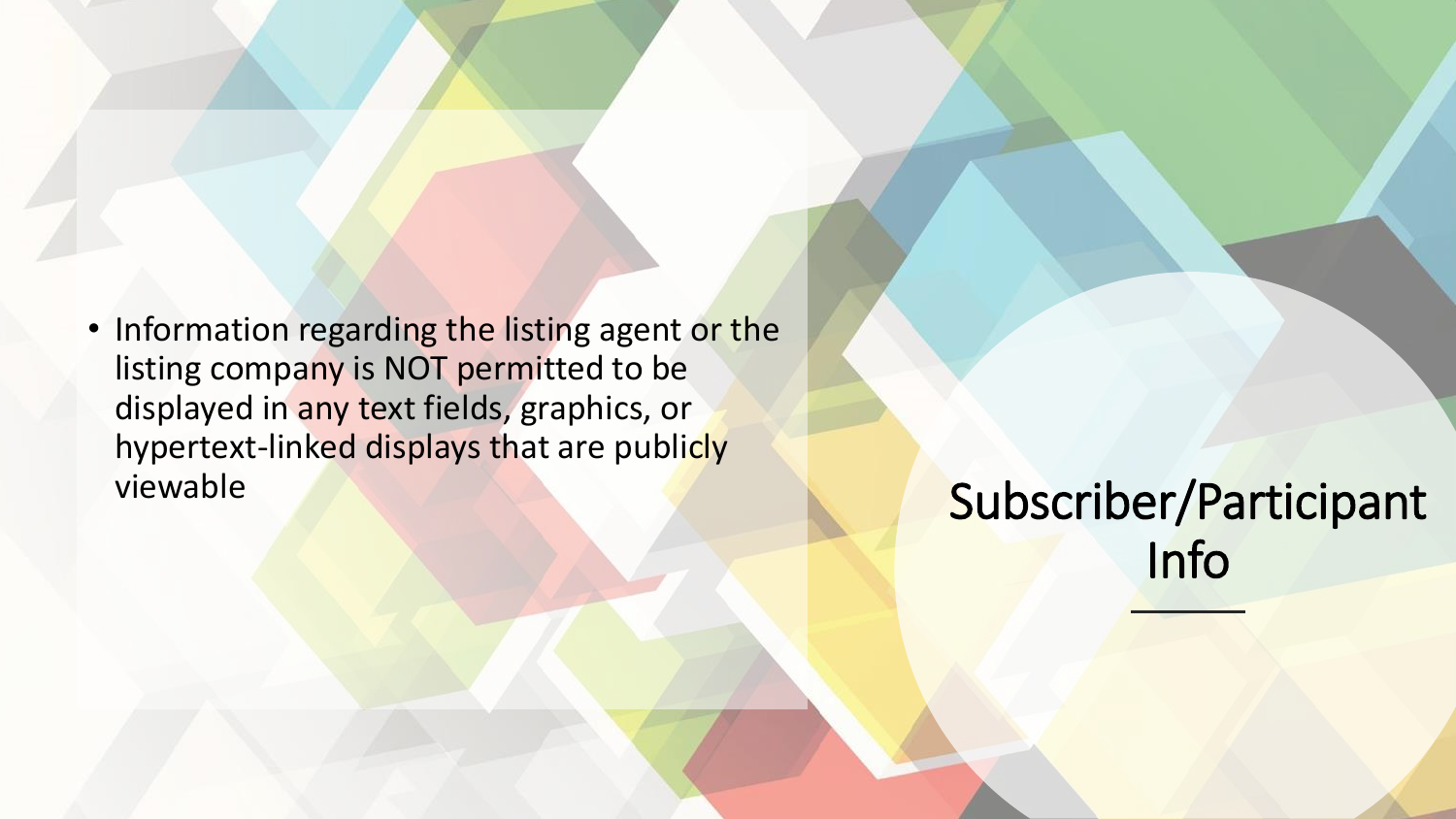• Information regarding the listing agent or the listing company is NOT permitted to be displayed in any text fields, graphics, or hypertext-linked displays that are publicly viewable

Subscriber/Participant Info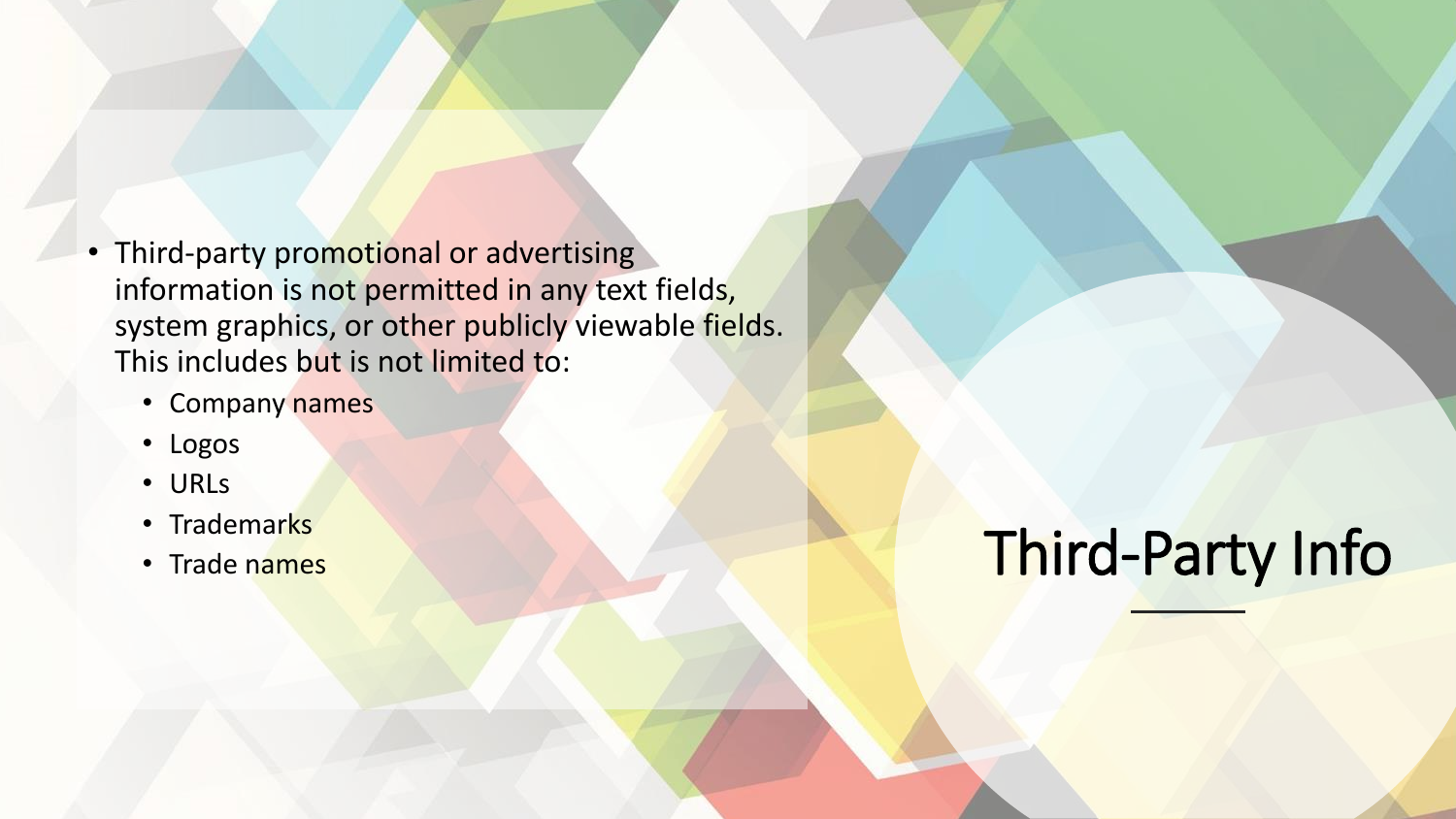- Third-party promotional or advertising information is not permitted in any text fields, system graphics, or other publicly viewable fields. This includes but is not limited to:
	- Company names
	- Logos
	- URLs
	- Trademarks
	- Trade names

## Third-Party Info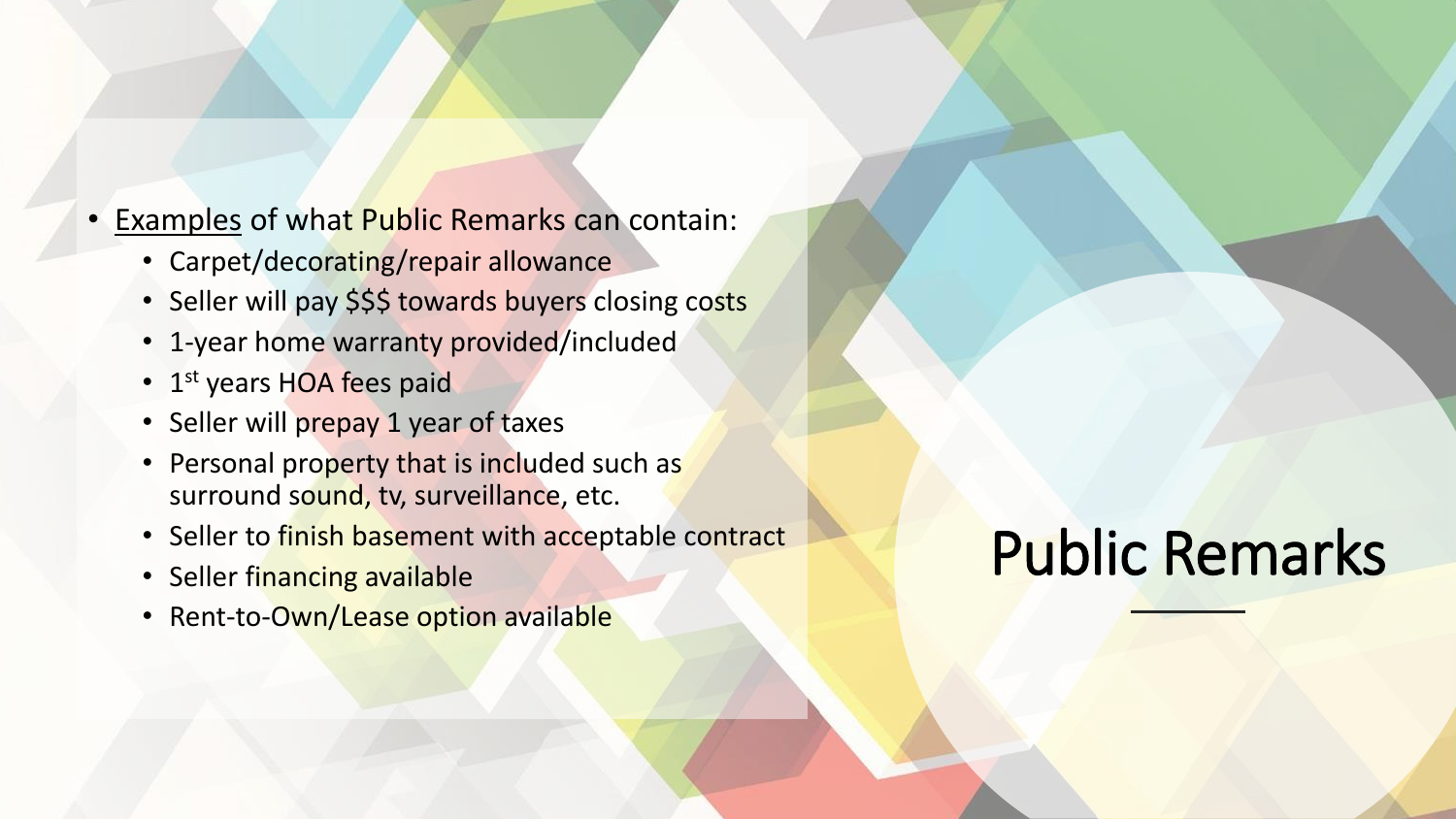- Examples of what Public Remarks can contain:
	- Carpet/decorating/repair allowance
	- Seller will pay \$\$\$ towards buyers closing costs
	- 1-year home warranty provided/included
	- 1<sup>st</sup> years HOA fees paid
	- Seller will prepay 1 year of taxes
	- Personal property that is included such as surround sound, tv, surveillance, etc.
	- Seller to finish basement with acceptable contract
	- Seller financing available
	- Rent-to-Own/Lease option available

# Public Remarks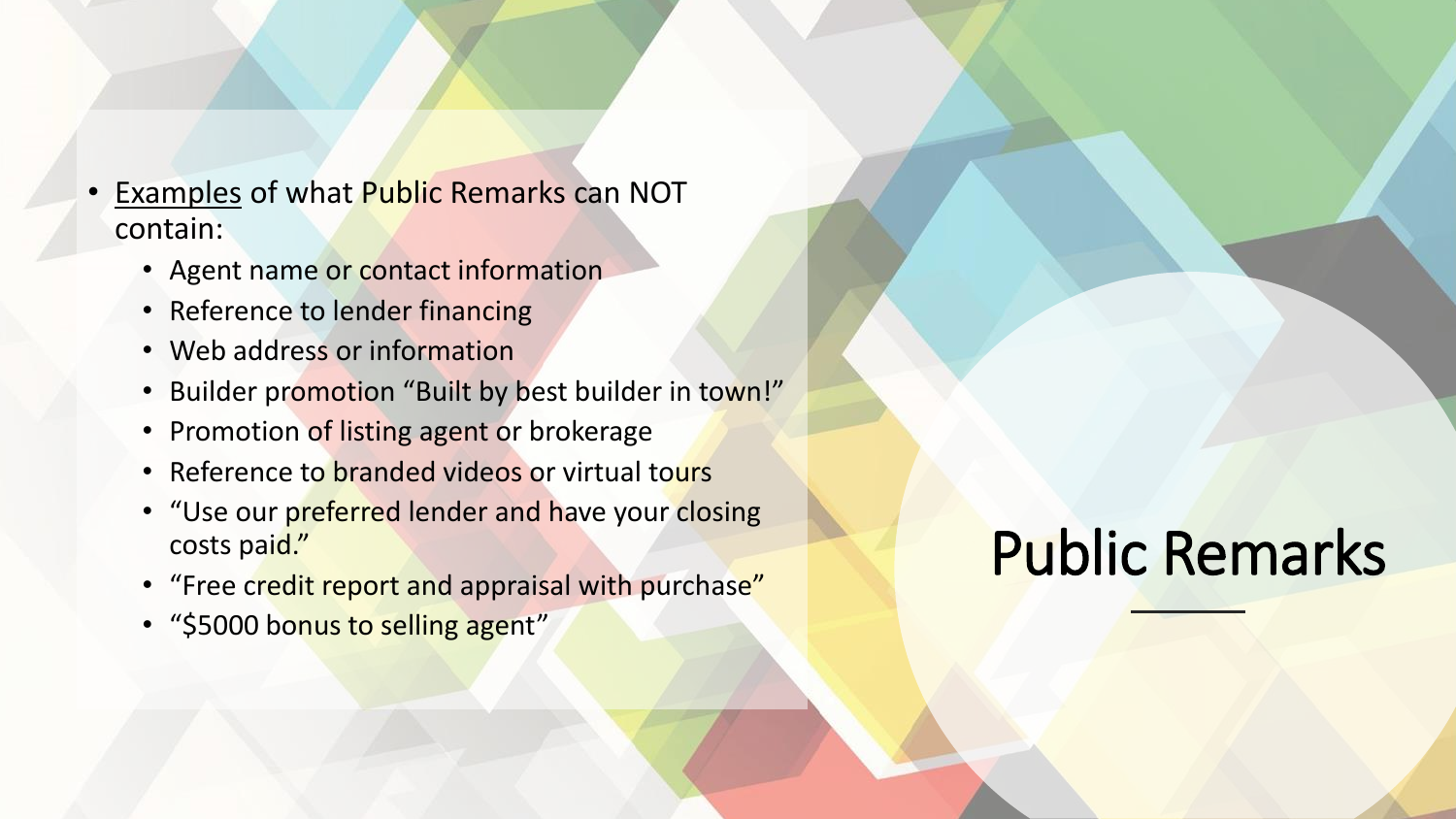- **Examples of what Public Remarks can NOT** contain:
	- Agent name or contact information
	- Reference to lender financing
	- Web address or information
	- Builder promotion "Built by best builder in town!"
	- Promotion of listing agent or brokerage
	- Reference to branded videos or virtual tours
	- "Use our preferred lender and have your closing costs paid."
	- "Free credit report and appraisal with purchase"
	- "\$5000 bonus to selling agent"

#### Public Remarks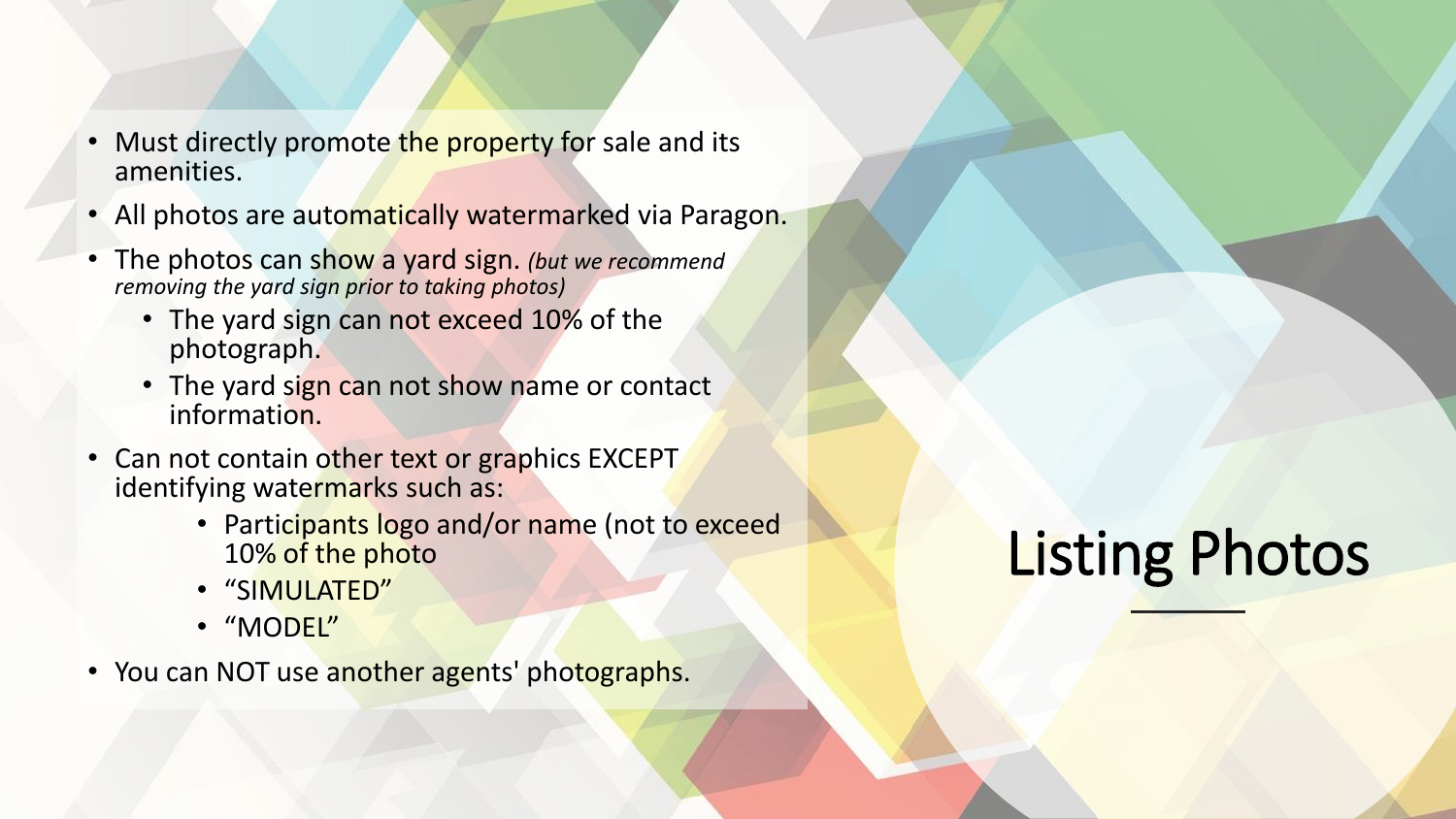- Must directly promote the property for sale and its amenities.
- All photos are automatically watermarked via Paragon.
- The photos can show a yard sign. *(but we recommend removing the yard sign prior to taking photos)*
	- The yard sign can not exceed 10% of the photograph.
	- The yard sign can not show name or contact information.
- Can not contain other text or graphics EXCEPT identifying watermarks such as:
	- Participants logo and/or name (not to exceed 10% of the photo
	- "SIMULATED"
	- "MODEL"
- You can NOT use another agents' photographs.

# Listing Photos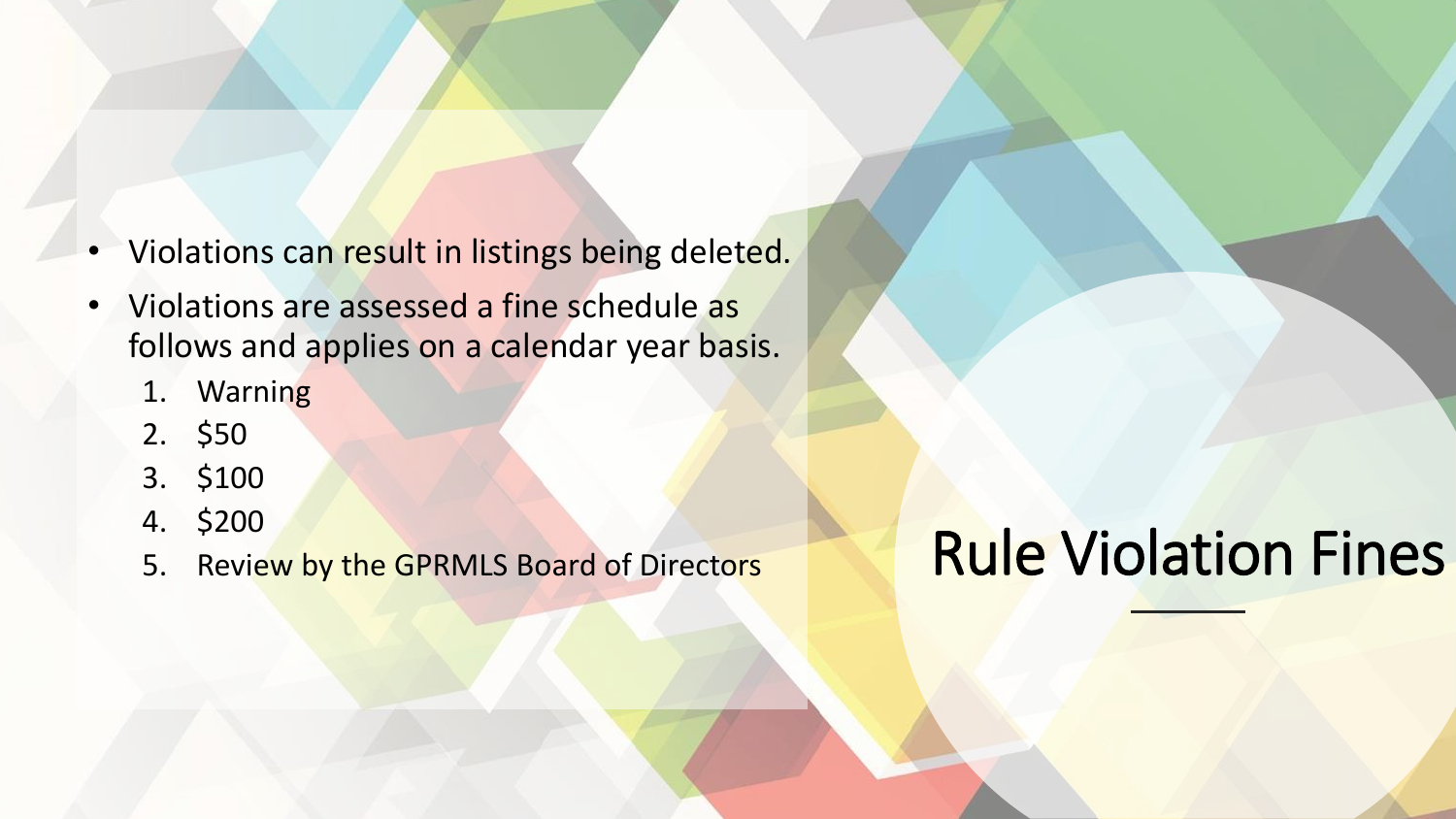- Violations can result in listings being deleted.
- Violations are assessed a fine schedule as follows and applies on a calendar year basis.
	- 1. Warning
	- 2. \$50
	- 3. \$100
	- 4. \$200
	- 5. Review by the GPRMLS Board of Directors

### Rule Violation Fines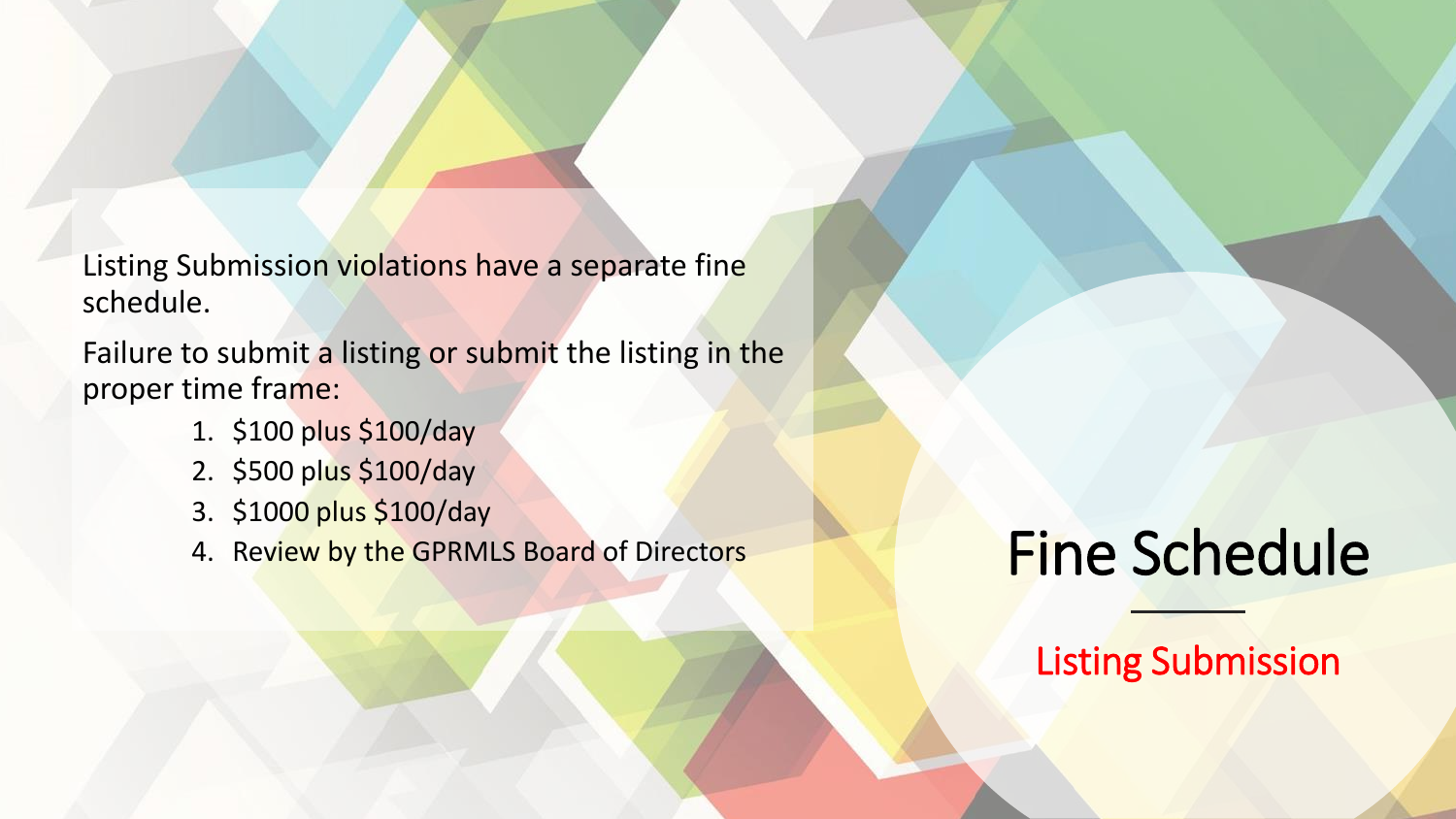Listing Submission violations have a separate fine schedule.

Failure to submit a listing or submit the listing in the proper time frame:

- 1. \$100 plus \$100/day
- 2. \$500 plus \$100/day
- 3. \$1000 plus \$100/day
- 4. Review by the GPRMLS Board of Directors

## Fine Schedule

Listing Submission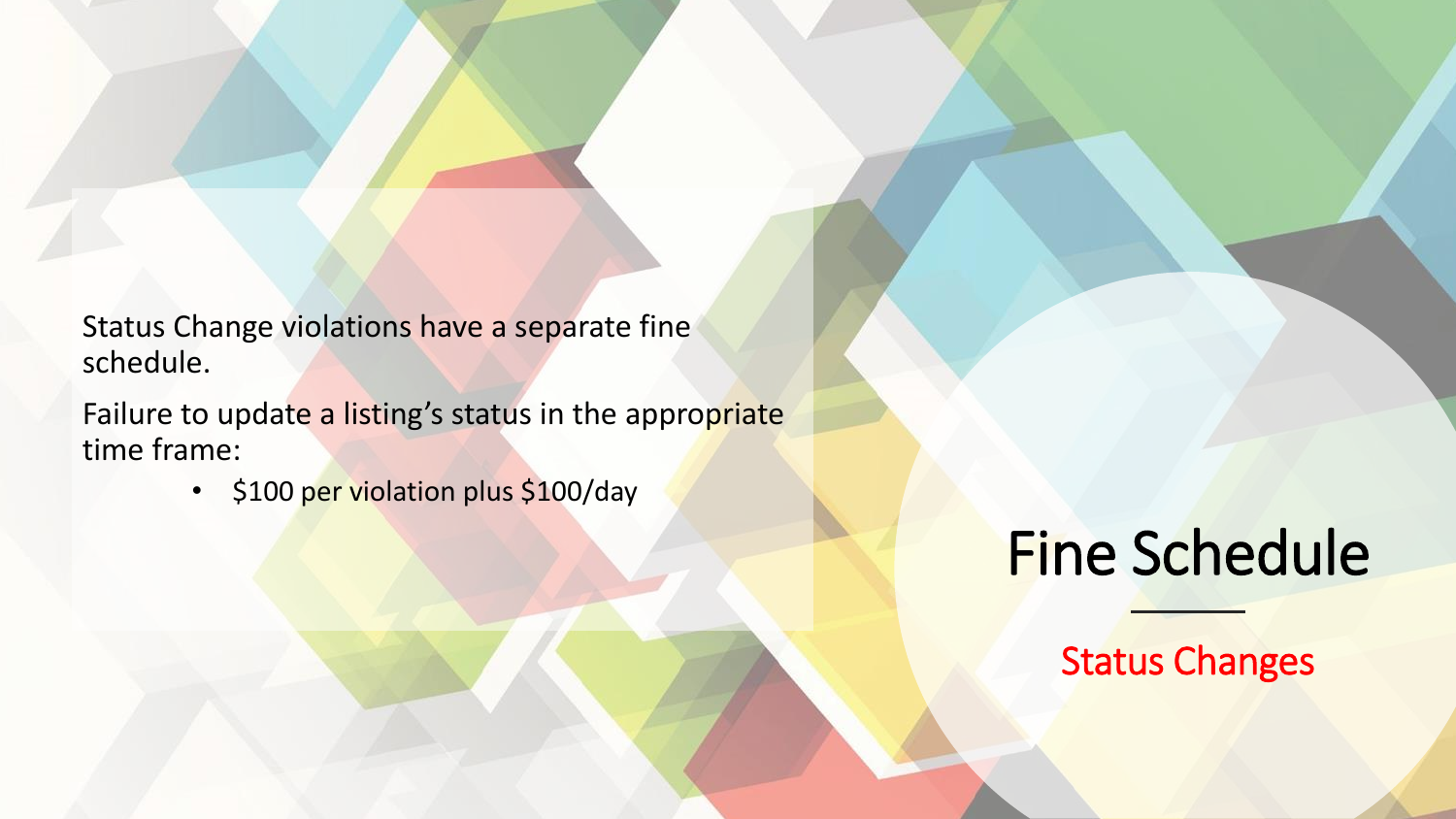Status Change violations have a separate fine schedule.

Failure to update a listing's status in the appropriate time frame:

• \$100 per violation plus \$100/day

#### Fine Schedule

Status Changes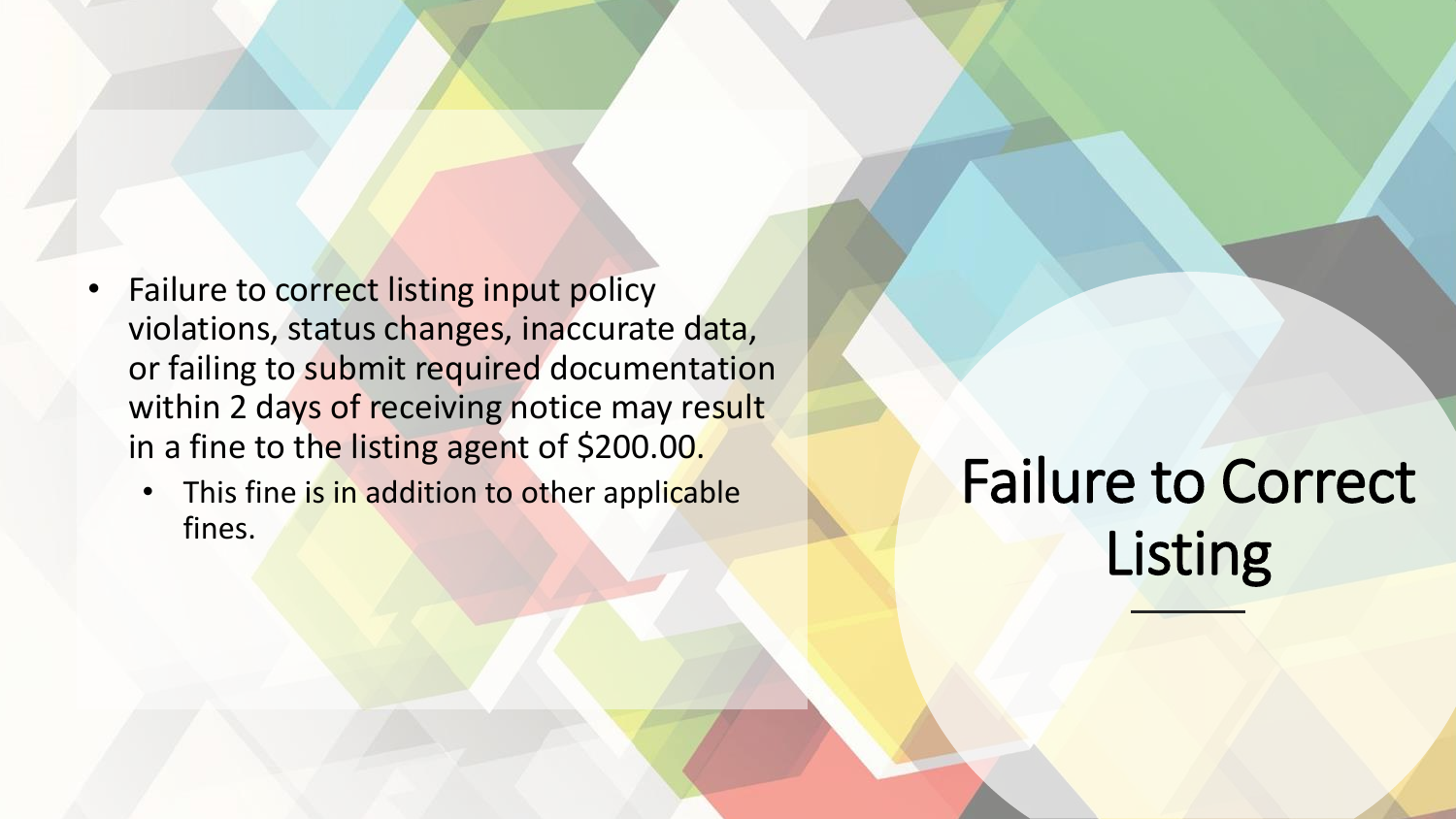- Failure to correct listing input policy violations, status changes, inaccurate data, or failing to submit required documentation within 2 days of receiving notice may result in a fine to the listing agent of \$200.00.
	- This fine is in addition to other applicable fines.

Failure to Correct Listing